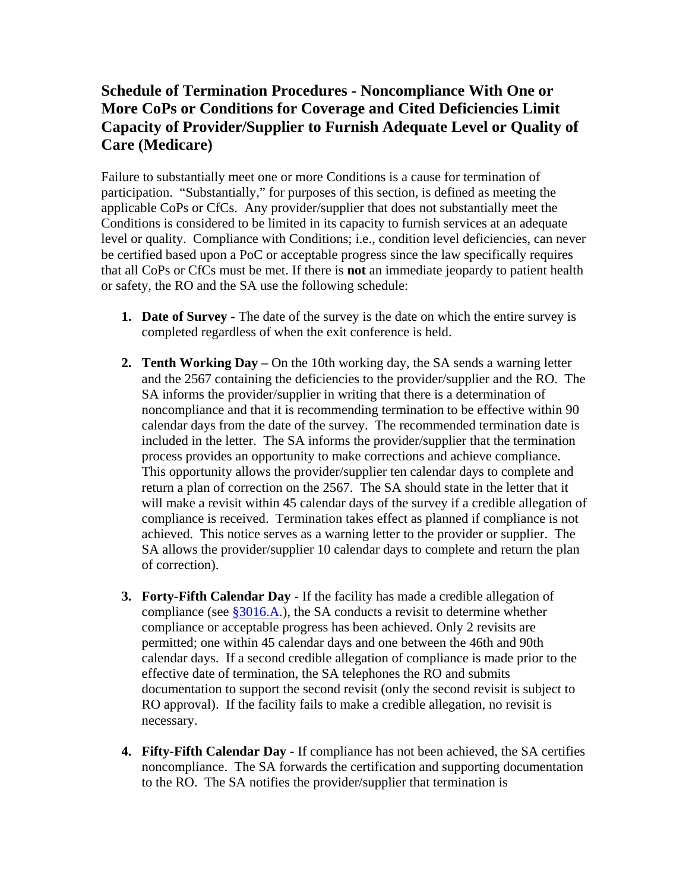## **More CoPs or Conditions for Coverage and Cited Deficiencies Limit Schedule of Termination Procedures - Noncompliance With One or Capacity of Provider/Supplier to Furnish Adequate Level or Quality of Care (Medicare)**

 applicable CoPs or CfCs. Any provider/supplier that does not substantially meet the be certified based upon a PoC or acceptable progress since the law specifically requires that all CoPs or CfCs must be met. If there is **not** an immediate jeopardy to patient health or safety, the RO and the SA use the following schedule: Failure to substantially meet one or more Conditions is a cause for termination of participation. "Substantially," for purposes of this section, is defined as meeting the Conditions is considered to be limited in its capacity to furnish services at an adequate level or quality. Compliance with Conditions; i.e., condition level deficiencies, can never

- **1. Date of Survey -** The date of the survey is the date on which the entire survey is completed regardless of when the exit conference is held.
- and the 2567 containing the deficiencies to the provider/supplier and the RO. The SA informs the provider/supplier in writing that there is a determination of noncompliance and that it is recommending termination to be effective within 90 included in the letter. The SA informs the provider/supplier that the termination compliance is received. Termination takes effect as planned if compliance is not **2. Tenth Working Day** – On the 10th working day, the SA sends a warning letter calendar days from the date of the survey. The recommended termination date is process provides an opportunity to make corrections and achieve compliance. This opportunity allows the provider/supplier ten calendar days to complete and return a plan of correction on the 2567. The SA should state in the letter that it will make a revisit within 45 calendar days of the survey if a credible allegation of achieved. This notice serves as a warning letter to the provider or supplier. The SA allows the provider/supplier 10 calendar days to complete and return the plan of correction).
- **3. Forty-Fifth Calendar Day** If the facility has made a credible allegation of calendar days. If a second credible allegation of compliance is made prior to the RO approval). If the facility fails to make a credible allegation, no revisit is compliance (see §3016.A.), the SA conducts a revisit to determine whether compliance or acceptable progress has been achieved. Only 2 revisits are permitted; one within 45 calendar days and one between the 46th and 90th effective date of termination, the SA telephones the RO and submits documentation to support the second revisit (only the second revisit is subject to necessary.
- **4. Fifty-Fifth Calendar Day -** If compliance has not been achieved, the SA certifies noncompliance. The SA forwards the certification and supporting documentation to the RO. The SA notifies the provider/supplier that termination is